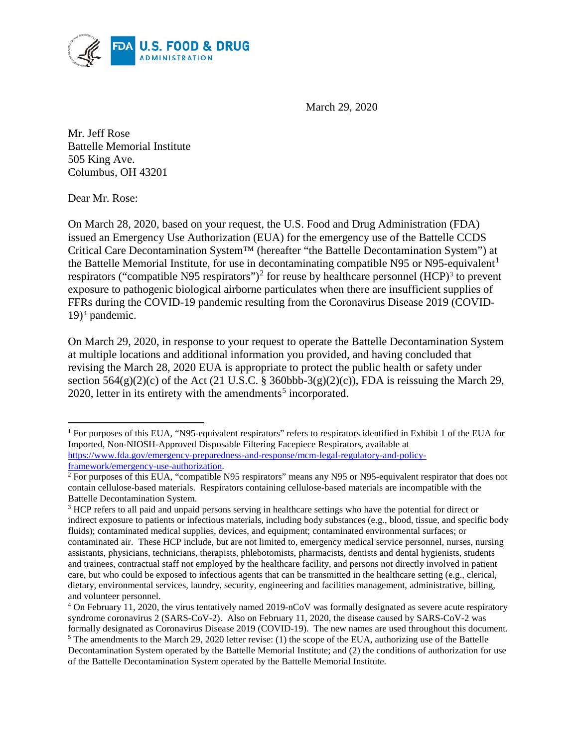

March 29, 2020

Mr. Jeff Rose Battelle Memorial Institute 505 King Ave. Columbus, OH 43201

Dear Mr. Rose:

 $\overline{\phantom{a}}$ 

On March 28, 2020, based on your request, the U.S. Food and Drug Administration (FDA) issued an Emergency Use Authorization (EUA) for the emergency use of the Battelle CCDS Critical Care Decontamination System™ (hereafter "the Battelle Decontamination System") at the Battelle Memorial Institute, for use in decontaminating compatible N95 or N95-equivalent<sup>[1](#page-0-0)</sup> respirators ("compatible N95 respirators")<sup>[2](#page-0-1)</sup> for reuse by healthcare personnel (HCP)<sup>[3](#page-0-2)</sup> to prevent exposure to pathogenic biological airborne particulates when there are insufficient supplies of FFRs during the COVID-19 pandemic resulting from the Coronavirus Disease 2019 (COVID-19)[4](#page-0-3) pandemic.

On March 29, 2020, in response to your request to operate the Battelle Decontamination System at multiple locations and additional information you provided, and having concluded that revising the March 28, 2020 EUA is appropriate to protect the public health or safety under section  $564(g)(2)(c)$  of the Act (21 U.S.C. § 360bbb-3(g)(2)(c)), FDA is reissuing the March 29, 2020, letter in its entirety with the amendments<sup>[5](#page-0-4)</sup> incorporated.

<span id="page-0-0"></span><sup>&</sup>lt;sup>1</sup> For purposes of this EUA, "N95-equivalent respirators" refers to respirators identified in Exhibit 1 of the EUA for Imported, Non-NIOSH-Approved Disposable Filtering Facepiece Respirators, available at [https://www.fda.gov/emergency-preparedness-and-response/mcm-legal-regulatory-and-policy](https://www.fda.gov/emergency-preparedness-and-response/mcm-legal-regulatory-and-policy-framework/emergency-use-authorization)framework/emergency-use-authorization.<br><sup>2</sup> For purposes of this EUA, "compatible N95 respirators" means any N95 or N95-equivalent respirator that does not

<span id="page-0-1"></span>contain cellulose-based materials. Respirators containing cellulose-based materials are incompatible with the Battelle Decontamination System.

<span id="page-0-2"></span><sup>3</sup> HCP refers to all paid and unpaid persons serving in healthcare settings who have the potential for direct or indirect exposure to patients or infectious materials, including body substances (e.g., blood, tissue, and specific body fluids); contaminated medical supplies, devices, and equipment; contaminated environmental surfaces; or contaminated air. These HCP include, but are not limited to, emergency medical service personnel, nurses, nursing assistants, physicians, technicians, therapists, phlebotomists, pharmacists, dentists and dental hygienists, students and trainees, contractual staff not employed by the healthcare facility, and persons not directly involved in patient care, but who could be exposed to infectious agents that can be transmitted in the healthcare setting (e.g., clerical, dietary, environmental services, laundry, security, engineering and facilities management, administrative, billing, and volunteer personnel.

<span id="page-0-4"></span><span id="page-0-3"></span><sup>4</sup> On February 11, 2020, the virus tentatively named 2019-nCoV was formally designated as severe acute respiratory syndrome coronavirus 2 (SARS-CoV-2). Also on February 11, 2020, the disease caused by SARS-CoV-2 was formally designated as Coronavirus Disease 2019 (COVID-19). The new names are used throughout this document.  $5$  The amendments to the March 29, 2020 letter revise: (1) the scope of the EUA, authorizing use of the Battelle Decontamination System operated by the Battelle Memorial Institute; and (2) the conditions of authorization for use of the Battelle Decontamination System operated by the Battelle Memorial Institute.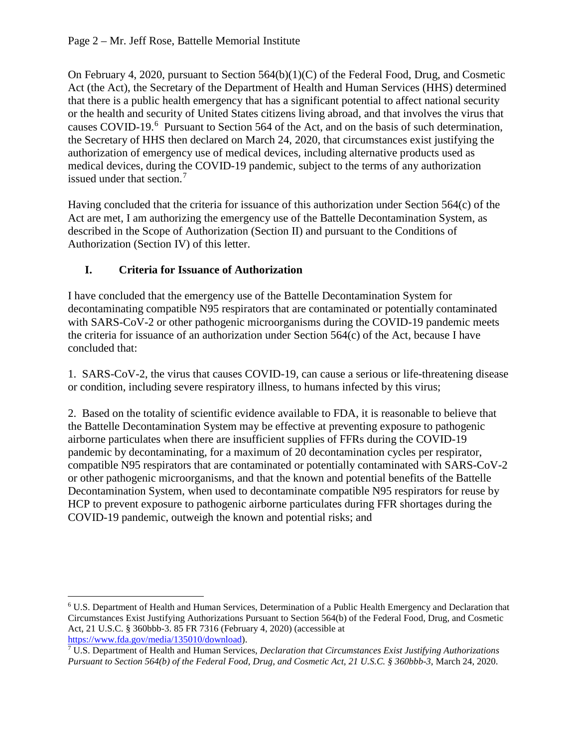On February 4, 2020, pursuant to Section 564(b)(1)(C) of the Federal Food, Drug, and Cosmetic Act (the Act), the Secretary of the Department of Health and Human Services (HHS) determined that there is a public health emergency that has a significant potential to affect national security or the health and security of United States citizens living abroad, and that involves the virus that causes COVID-19.<sup>[6](#page-1-0)</sup> Pursuant to Section 564 of the Act, and on the basis of such determination, the Secretary of HHS then declared on March 24, 2020, that circumstances exist justifying the authorization of emergency use of medical devices, including alternative products used as medical devices, during the COVID-19 pandemic, subject to the terms of any authorization issued under that section.<sup>[7](#page-1-1)</sup>

Having concluded that the criteria for issuance of this authorization under Section 564(c) of the Act are met, I am authorizing the emergency use of the Battelle Decontamination System, as described in the Scope of Authorization (Section II) and pursuant to the Conditions of Authorization (Section IV) of this letter.

# **I. Criteria for Issuance of Authorization**

l

I have concluded that the emergency use of the Battelle Decontamination System for decontaminating compatible N95 respirators that are contaminated or potentially contaminated with SARS-CoV-2 or other pathogenic microorganisms during the COVID-19 pandemic meets the criteria for issuance of an authorization under Section 564(c) of the Act, because I have concluded that:

1. SARS-CoV-2, the virus that causes COVID-19, can cause a serious or life-threatening disease or condition, including severe respiratory illness, to humans infected by this virus;

2. Based on the totality of scientific evidence available to FDA, it is reasonable to believe that the Battelle Decontamination System may be effective at preventing exposure to pathogenic airborne particulates when there are insufficient supplies of FFRs during the COVID-19 pandemic by decontaminating, for a maximum of 20 decontamination cycles per respirator, compatible N95 respirators that are contaminated or potentially contaminated with SARS-CoV-2 or other pathogenic microorganisms, and that the known and potential benefits of the Battelle Decontamination System, when used to decontaminate compatible N95 respirators for reuse by HCP to prevent exposure to pathogenic airborne particulates during FFR shortages during the COVID-19 pandemic, outweigh the known and potential risks; and

<span id="page-1-0"></span><sup>6</sup> U.S. Department of Health and Human Services, Determination of a Public Health Emergency and Declaration that Circumstances Exist Justifying Authorizations Pursuant to Section 564(b) of the Federal Food, Drug, and Cosmetic Act, 21 U.S.C. § 360bbb-3. 85 FR 7316 (February 4, 2020) (accessible at https://www.fda.gov/media/135010/download).

<span id="page-1-1"></span><sup>&</sup>lt;sup>7</sup> U.S. Department of Health and Human Services, *Declaration that Circumstances Exist Justifying Authorizations Pursuant to Section 564(b) of the Federal Food, Drug, and Cosmetic Act, 21 U.S.C. § 360bbb-3*, March 24, 2020.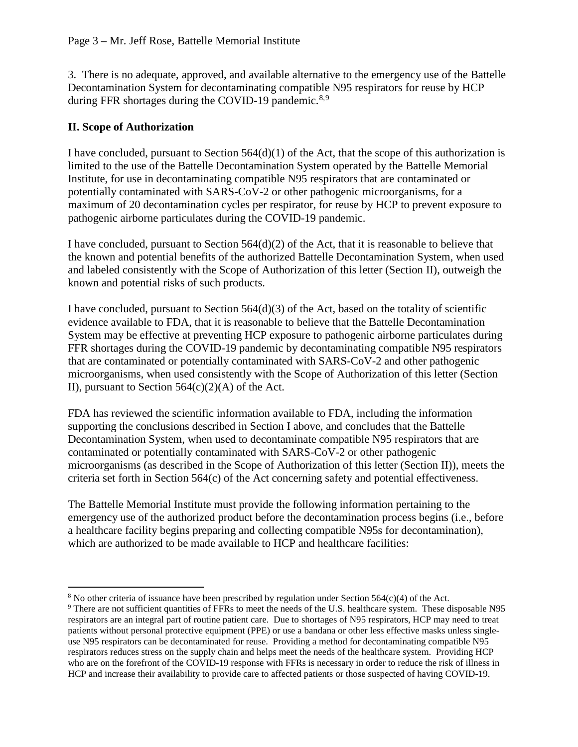3. There is no adequate, approved, and available alternative to the emergency use of the Battelle Decontamination System for decontaminating compatible N95 respirators for reuse by HCP during FFR shortages during the COVID-19 pandemic.<sup>[8](#page-2-0),[9](#page-2-1)</sup>

#### **II. Scope of Authorization**

l

I have concluded, pursuant to Section  $564(d)(1)$  of the Act, that the scope of this authorization is limited to the use of the Battelle Decontamination System operated by the Battelle Memorial Institute, for use in decontaminating compatible N95 respirators that are contaminated or potentially contaminated with SARS-CoV-2 or other pathogenic microorganisms, for a maximum of 20 decontamination cycles per respirator, for reuse by HCP to prevent exposure to pathogenic airborne particulates during the COVID-19 pandemic.

I have concluded, pursuant to Section 564(d)(2) of the Act, that it is reasonable to believe that the known and potential benefits of the authorized Battelle Decontamination System, when used and labeled consistently with the Scope of Authorization of this letter (Section II), outweigh the known and potential risks of such products.

I have concluded, pursuant to Section  $564(d)(3)$  of the Act, based on the totality of scientific evidence available to FDA, that it is reasonable to believe that the Battelle Decontamination System may be effective at preventing HCP exposure to pathogenic airborne particulates during FFR shortages during the COVID-19 pandemic by decontaminating compatible N95 respirators that are contaminated or potentially contaminated with SARS-CoV-2 and other pathogenic microorganisms, when used consistently with the Scope of Authorization of this letter (Section II), pursuant to Section  $564(c)(2)(A)$  of the Act.

FDA has reviewed the scientific information available to FDA, including the information supporting the conclusions described in Section I above, and concludes that the Battelle Decontamination System, when used to decontaminate compatible N95 respirators that are contaminated or potentially contaminated with SARS-CoV-2 or other pathogenic microorganisms (as described in the Scope of Authorization of this letter (Section II)), meets the criteria set forth in Section 564(c) of the Act concerning safety and potential effectiveness.

The Battelle Memorial Institute must provide the following information pertaining to the emergency use of the authorized product before the decontamination process begins (i.e., before a healthcare facility begins preparing and collecting compatible N95s for decontamination), which are authorized to be made available to HCP and healthcare facilities:

<span id="page-2-0"></span><sup>&</sup>lt;sup>8</sup> No other criteria of issuance have been prescribed by regulation under Section 564(c)(4) of the Act.

<span id="page-2-1"></span><sup>&</sup>lt;sup>9</sup> There are not sufficient quantities of FFRs to meet the needs of the U.S. healthcare system. These disposable N95 respirators are an integral part of routine patient care. Due to shortages of N95 respirators, HCP may need to treat patients without personal protective equipment (PPE) or use a bandana or other less effective masks unless singleuse N95 respirators can be decontaminated for reuse. Providing a method for decontaminating compatible N95 respirators reduces stress on the supply chain and helps meet the needs of the healthcare system. Providing HCP who are on the forefront of the COVID-19 response with FFRs is necessary in order to reduce the risk of illness in HCP and increase their availability to provide care to affected patients or those suspected of having COVID-19.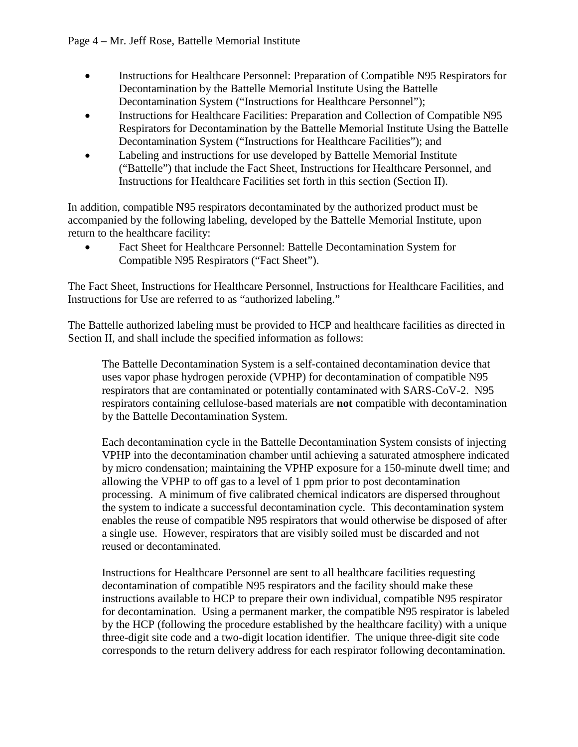- Instructions for Healthcare Personnel: Preparation of Compatible N95 Respirators for Decontamination by the Battelle Memorial Institute Using the Battelle Decontamination System ("Instructions for Healthcare Personnel");
- Instructions for Healthcare Facilities: Preparation and Collection of Compatible N95 Respirators for Decontamination by the Battelle Memorial Institute Using the Battelle Decontamination System ("Instructions for Healthcare Facilities"); and
- Labeling and instructions for use developed by Battelle Memorial Institute ("Battelle") that include the Fact Sheet, Instructions for Healthcare Personnel, and Instructions for Healthcare Facilities set forth in this section (Section II).

In addition, compatible N95 respirators decontaminated by the authorized product must be accompanied by the following labeling, developed by the Battelle Memorial Institute, upon return to the healthcare facility:

• Fact Sheet for Healthcare Personnel: Battelle Decontamination System for Compatible N95 Respirators ("Fact Sheet").

The Fact Sheet, Instructions for Healthcare Personnel, Instructions for Healthcare Facilities, and Instructions for Use are referred to as "authorized labeling."

The Battelle authorized labeling must be provided to HCP and healthcare facilities as directed in Section II, and shall include the specified information as follows:

The Battelle Decontamination System is a self-contained decontamination device that uses vapor phase hydrogen peroxide (VPHP) for decontamination of compatible N95 respirators that are contaminated or potentially contaminated with SARS-CoV-2. N95 respirators containing cellulose-based materials are **not** compatible with decontamination by the Battelle Decontamination System.

Each decontamination cycle in the Battelle Decontamination System consists of injecting VPHP into the decontamination chamber until achieving a saturated atmosphere indicated by micro condensation; maintaining the VPHP exposure for a 150-minute dwell time; and allowing the VPHP to off gas to a level of 1 ppm prior to post decontamination processing. A minimum of five calibrated chemical indicators are dispersed throughout the system to indicate a successful decontamination cycle. This decontamination system enables the reuse of compatible N95 respirators that would otherwise be disposed of after a single use. However, respirators that are visibly soiled must be discarded and not reused or decontaminated.

Instructions for Healthcare Personnel are sent to all healthcare facilities requesting decontamination of compatible N95 respirators and the facility should make these instructions available to HCP to prepare their own individual, compatible N95 respirator for decontamination. Using a permanent marker, the compatible N95 respirator is labeled by the HCP (following the procedure established by the healthcare facility) with a unique three-digit site code and a two-digit location identifier. The unique three-digit site code corresponds to the return delivery address for each respirator following decontamination.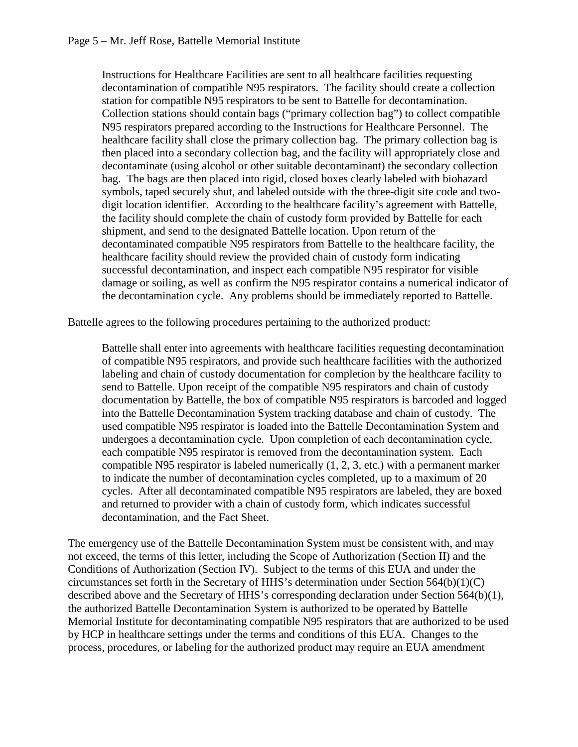Instructions for Healthcare Facilities are sent to all healthcare facilities requesting decontamination of compatible N95 respirators. The facility should create a collection station for compatible N95 respirators to be sent to Battelle for decontamination. Collection stations should contain bags ("primary collection bag") to collect compatible N95 respirators prepared according to the Instructions for Healthcare Personnel. The healthcare facility shall close the primary collection bag. The primary collection bag is then placed into a secondary collection bag, and the facility will appropriately close and decontaminate (using alcohol or other suitable decontaminant) the secondary collection bag. The bags are then placed into rigid, closed boxes clearly labeled with biohazard symbols, taped securely shut, and labeled outside with the three-digit site code and twodigit location identifier. According to the healthcare facility's agreement with Battelle, the facility should complete the chain of custody form provided by Battelle for each shipment, and send to the designated Battelle location. Upon return of the decontaminated compatible N95 respirators from Battelle to the healthcare facility, the healthcare facility should review the provided chain of custody form indicating successful decontamination, and inspect each compatible N95 respirator for visible damage or soiling, as well as confirm the N95 respirator contains a numerical indicator of the decontamination cycle. Any problems should be immediately reported to Battelle.

Battelle agrees to the following procedures pertaining to the authorized product:

Battelle shall enter into agreements with healthcare facilities requesting decontamination of compatible N95 respirators, and provide such healthcare facilities with the authorized labeling and chain of custody documentation for completion by the healthcare facility to send to Battelle. Upon receipt of the compatible N95 respirators and chain of custody documentation by Battelle, the box of compatible N95 respirators is barcoded and logged into the Battelle Decontamination System tracking database and chain of custody. The used compatible N95 respirator is loaded into the Battelle Decontamination System and undergoes a decontamination cycle. Upon completion of each decontamination cycle, each compatible N95 respirator is removed from the decontamination system. Each compatible N95 respirator is labeled numerically (1, 2, 3, etc.) with a permanent marker to indicate the number of decontamination cycles completed, up to a maximum of 20 cycles. After all decontaminated compatible N95 respirators are labeled, they are boxed and returned to provider with a chain of custody form, which indicates successful decontamination, and the Fact Sheet.

The emergency use of the Battelle Decontamination System must be consistent with, and may not exceed, the terms of this letter, including the Scope of Authorization (Section II) and the Conditions of Authorization (Section IV). Subject to the terms of this EUA and under the circumstances set forth in the Secretary of HHS's determination under Section 564(b)(1)(C) described above and the Secretary of HHS's corresponding declaration under Section 564(b)(1), the authorized Battelle Decontamination System is authorized to be operated by Battelle Memorial Institute for decontaminating compatible N95 respirators that are authorized to be used by HCP in healthcare settings under the terms and conditions of this EUA. Changes to the process, procedures, or labeling for the authorized product may require an EUA amendment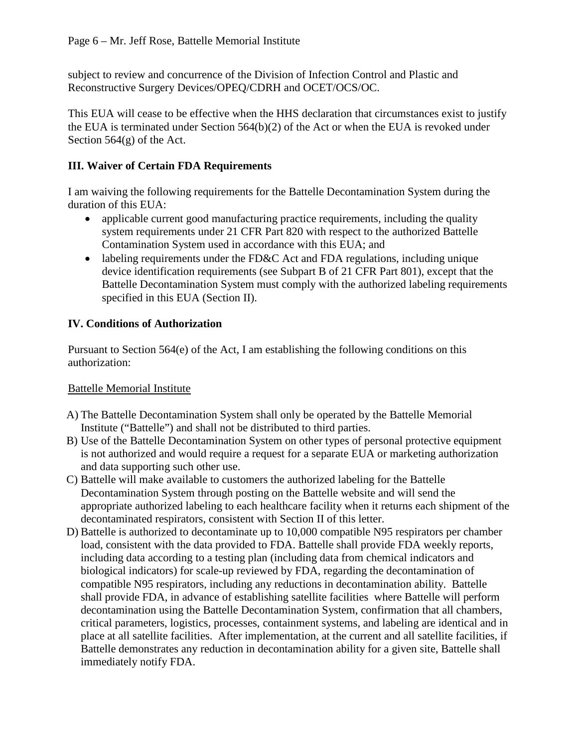subject to review and concurrence of the Division of Infection Control and Plastic and Reconstructive Surgery Devices/OPEQ/CDRH and OCET/OCS/OC.

This EUA will cease to be effective when the HHS declaration that circumstances exist to justify the EUA is terminated under Section 564(b)(2) of the Act or when the EUA is revoked under Section 564(g) of the Act.

### **III. Waiver of Certain FDA Requirements**

I am waiving the following requirements for the Battelle Decontamination System during the duration of this EUA:

- applicable current good manufacturing practice requirements, including the quality system requirements under 21 CFR Part 820 with respect to the authorized Battelle Contamination System used in accordance with this EUA; and
- labeling requirements under the FD&C Act and FDA regulations, including unique device identification requirements (see Subpart B of 21 CFR Part 801), except that the Battelle Decontamination System must comply with the authorized labeling requirements specified in this EUA (Section II).

### **IV. Conditions of Authorization**

Pursuant to Section 564(e) of the Act, I am establishing the following conditions on this authorization:

#### Battelle Memorial Institute

- A) The Battelle Decontamination System shall only be operated by the Battelle Memorial Institute ("Battelle") and shall not be distributed to third parties.
- B) Use of the Battelle Decontamination System on other types of personal protective equipment is not authorized and would require a request for a separate EUA or marketing authorization and data supporting such other use.
- C) Battelle will make available to customers the authorized labeling for the Battelle Decontamination System through posting on the Battelle website and will send the appropriate authorized labeling to each healthcare facility when it returns each shipment of the decontaminated respirators, consistent with Section II of this letter.
- D) Battelle is authorized to decontaminate up to 10,000 compatible N95 respirators per chamber load, consistent with the data provided to FDA. Battelle shall provide FDA weekly reports, including data according to a testing plan (including data from chemical indicators and biological indicators) for scale-up reviewed by FDA, regarding the decontamination of compatible N95 respirators, including any reductions in decontamination ability. Battelle shall provide FDA, in advance of establishing satellite facilities where Battelle will perform decontamination using the Battelle Decontamination System, confirmation that all chambers, critical parameters, logistics, processes, containment systems, and labeling are identical and in place at all satellite facilities. After implementation, at the current and all satellite facilities, if Battelle demonstrates any reduction in decontamination ability for a given site, Battelle shall immediately notify FDA.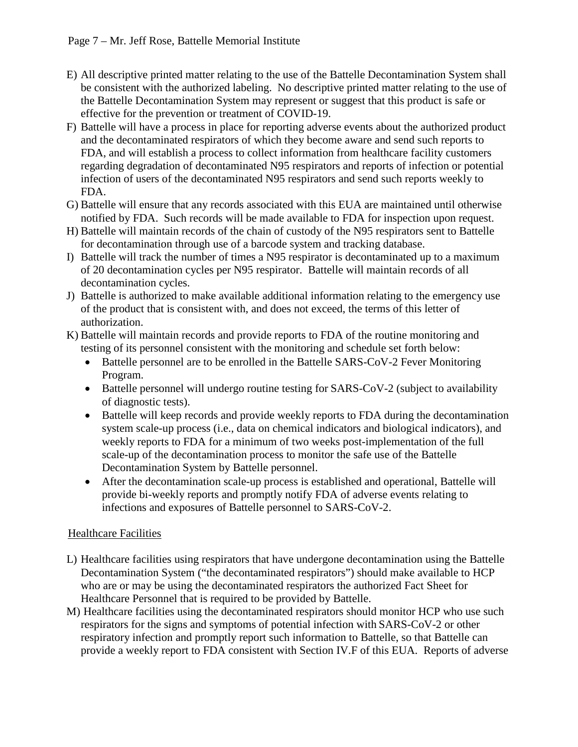- E) All descriptive printed matter relating to the use of the Battelle Decontamination System shall be consistent with the authorized labeling. No descriptive printed matter relating to the use of the Battelle Decontamination System may represent or suggest that this product is safe or effective for the prevention or treatment of COVID-19.
- F) Battelle will have a process in place for reporting adverse events about the authorized product and the decontaminated respirators of which they become aware and send such reports to FDA, and will establish a process to collect information from healthcare facility customers regarding degradation of decontaminated N95 respirators and reports of infection or potential infection of users of the decontaminated N95 respirators and send such reports weekly to FDA.
- G) Battelle will ensure that any records associated with this EUA are maintained until otherwise notified by FDA. Such records will be made available to FDA for inspection upon request.
- H) Battelle will maintain records of the chain of custody of the N95 respirators sent to Battelle for decontamination through use of a barcode system and tracking database.
- I) Battelle will track the number of times a N95 respirator is decontaminated up to a maximum of 20 decontamination cycles per N95 respirator. Battelle will maintain records of all decontamination cycles.
- J) Battelle is authorized to make available additional information relating to the emergency use of the product that is consistent with, and does not exceed, the terms of this letter of authorization.
- K) Battelle will maintain records and provide reports to FDA of the routine monitoring and testing of its personnel consistent with the monitoring and schedule set forth below:
	- Battelle personnel are to be enrolled in the Battelle SARS-CoV-2 Fever Monitoring Program.
	- Battelle personnel will undergo routine testing for SARS-CoV-2 (subject to availability of diagnostic tests).
	- Battelle will keep records and provide weekly reports to FDA during the decontamination system scale-up process (i.e., data on chemical indicators and biological indicators), and weekly reports to FDA for a minimum of two weeks post-implementation of the full scale-up of the decontamination process to monitor the safe use of the Battelle Decontamination System by Battelle personnel.
	- After the decontamination scale-up process is established and operational, Battelle will provide bi-weekly reports and promptly notify FDA of adverse events relating to infections and exposures of Battelle personnel to SARS-CoV-2.

# Healthcare Facilities

- L) Healthcare facilities using respirators that have undergone decontamination using the Battelle Decontamination System ("the decontaminated respirators") should make available to HCP who are or may be using the decontaminated respirators the authorized Fact Sheet for Healthcare Personnel that is required to be provided by Battelle.
- M) Healthcare facilities using the decontaminated respirators should monitor HCP who use such respirators for the signs and symptoms of potential infection with SARS-CoV-2 or other respiratory infection and promptly report such information to Battelle, so that Battelle can provide a weekly report to FDA consistent with Section IV.F of this EUA. Reports of adverse